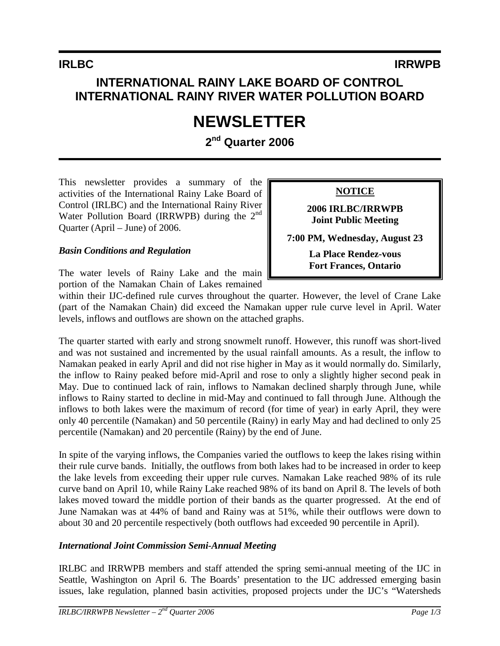## **INTERNATIONAL RAINY LAKE BOARD OF CONTROL INTERNATIONAL RAINY RIVER WATER POLLUTION BOARD**

# **NEWSLETTER**

**2nd Quarter 2006** 

This newsletter provides a summary of the activities of the International Rainy Lake Board of Control (IRLBC) and the International Rainy River Water Pollution Board (IRRWPB) during the  $2<sup>nd</sup>$ Quarter (April – June) of 2006.

#### *Basin Conditions and Regulation*

The water levels of Rainy Lake and the main portion of the Namakan Chain of Lakes remained

within their IJC-defined rule curves throughout the quarter. However, the level of Crane Lake (part of the Namakan Chain) did exceed the Namakan upper rule curve level in April. Water levels, inflows and outflows are shown on the attached graphs.

The quarter started with early and strong snowmelt runoff. However, this runoff was short-lived and was not sustained and incremented by the usual rainfall amounts. As a result, the inflow to Namakan peaked in early April and did not rise higher in May as it would normally do. Similarly, the inflow to Rainy peaked before mid-April and rose to only a slightly higher second peak in May. Due to continued lack of rain, inflows to Namakan declined sharply through June, while inflows to Rainy started to decline in mid-May and continued to fall through June. Although the inflows to both lakes were the maximum of record (for time of year) in early April, they were only 40 percentile (Namakan) and 50 percentile (Rainy) in early May and had declined to only 25 percentile (Namakan) and 20 percentile (Rainy) by the end of June.

In spite of the varying inflows, the Companies varied the outflows to keep the lakes rising within their rule curve bands. Initially, the outflows from both lakes had to be increased in order to keep the lake levels from exceeding their upper rule curves. Namakan Lake reached 98% of its rule curve band on April 10, while Rainy Lake reached 98% of its band on April 8. The levels of both lakes moved toward the middle portion of their bands as the quarter progressed. At the end of June Namakan was at 44% of band and Rainy was at 51%, while their outflows were down to about 30 and 20 percentile respectively (both outflows had exceeded 90 percentile in April).

#### *International Joint Commission Semi-Annual Meeting*

IRLBC and IRRWPB members and staff attended the spring semi-annual meeting of the IJC in Seattle, Washington on April 6. The Boards' presentation to the IJC addressed emerging basin issues, lake regulation, planned basin activities, proposed projects under the IJC's "Watersheds

**NOTICE**

**2006 IRLBC/IRRWPB Joint Public Meeting** 

**7:00 PM, Wednesday, August 23** 

**La Place Rendez-vous Fort Frances, Ontario**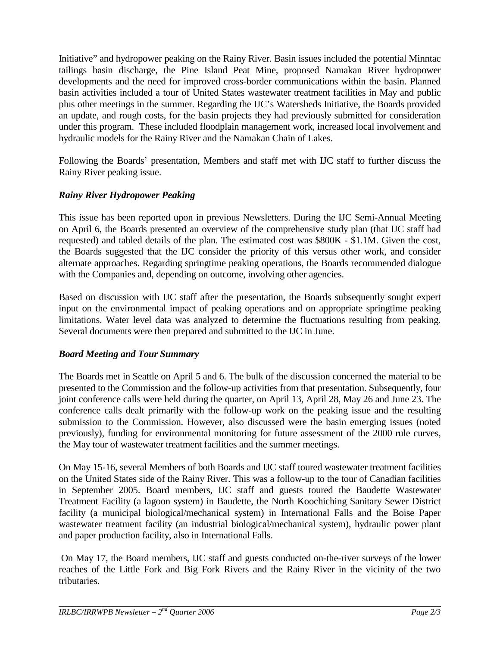Initiative" and hydropower peaking on the Rainy River. Basin issues included the potential Minntac tailings basin discharge, the Pine Island Peat Mine, proposed Namakan River hydropower developments and the need for improved cross-border communications within the basin. Planned basin activities included a tour of United States wastewater treatment facilities in May and public plus other meetings in the summer. Regarding the IJC's Watersheds Initiative, the Boards provided an update, and rough costs, for the basin projects they had previously submitted for consideration under this program. These included floodplain management work, increased local involvement and hydraulic models for the Rainy River and the Namakan Chain of Lakes.

Following the Boards' presentation, Members and staff met with IJC staff to further discuss the Rainy River peaking issue.

### *Rainy River Hydropower Peaking*

This issue has been reported upon in previous Newsletters. During the IJC Semi-Annual Meeting on April 6, the Boards presented an overview of the comprehensive study plan (that IJC staff had requested) and tabled details of the plan. The estimated cost was \$800K - \$1.1M. Given the cost, the Boards suggested that the IJC consider the priority of this versus other work, and consider alternate approaches. Regarding springtime peaking operations, the Boards recommended dialogue with the Companies and, depending on outcome, involving other agencies.

Based on discussion with IJC staff after the presentation, the Boards subsequently sought expert input on the environmental impact of peaking operations and on appropriate springtime peaking limitations. Water level data was analyzed to determine the fluctuations resulting from peaking. Several documents were then prepared and submitted to the IJC in June.

#### *Board Meeting and Tour Summary*

The Boards met in Seattle on April 5 and 6. The bulk of the discussion concerned the material to be presented to the Commission and the follow-up activities from that presentation. Subsequently, four joint conference calls were held during the quarter, on April 13, April 28, May 26 and June 23. The conference calls dealt primarily with the follow-up work on the peaking issue and the resulting submission to the Commission. However, also discussed were the basin emerging issues (noted previously), funding for environmental monitoring for future assessment of the 2000 rule curves, the May tour of wastewater treatment facilities and the summer meetings.

On May 15-16, several Members of both Boards and IJC staff toured wastewater treatment facilities on the United States side of the Rainy River. This was a follow-up to the tour of Canadian facilities in September 2005. Board members, IJC staff and guests toured the Baudette Wastewater Treatment Facility (a lagoon system) in Baudette, the North Koochiching Sanitary Sewer District facility (a municipal biological/mechanical system) in International Falls and the Boise Paper wastewater treatment facility (an industrial biological/mechanical system), hydraulic power plant and paper production facility, also in International Falls.

 On May 17, the Board members, IJC staff and guests conducted on-the-river surveys of the lower reaches of the Little Fork and Big Fork Rivers and the Rainy River in the vicinity of the two tributaries.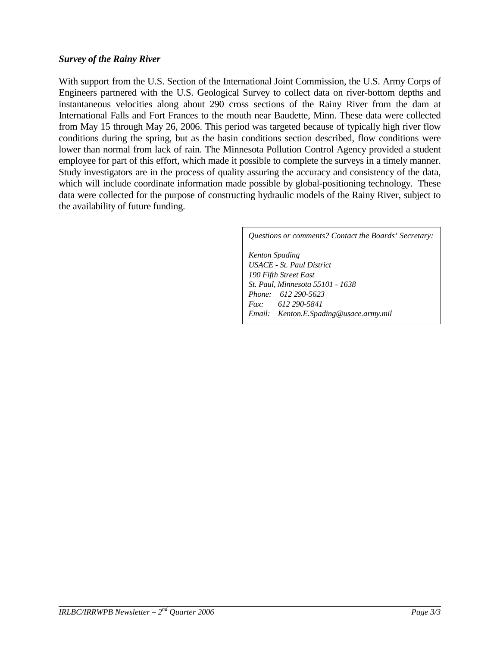With support from the U.S. Section of the International Joint Commission, the U.S. Army Corps of Engineers partnered with the U.S. Geological Survey to collect data on river-bottom depths and instantaneous velocities along about 290 cross sections of the Rainy River from the dam at International Falls and Fort Frances to the mouth near Baudette, Minn. These data were collected from May 15 through May 26, 2006. This period was targeted because of typically high river flow conditions during the spring, but as the basin conditions section described, flow conditions were lower than normal from lack of rain. The Minnesota Pollution Control Agency provided a student employee for part of this effort, which made it possible to complete the surveys in a timely manner. Study investigators are in the process of quality assuring the accuracy and consistency of the data, which will include coordinate information made possible by global-positioning technology. These data were collected for the purpose of constructing hydraulic models of the Rainy River, subject to the availability of future funding.

#### *Questions or comments? Contact the Boards' Secretary:*

*Kenton Spading USACE - St. Paul District 190 Fifth Street East St. Paul, Minnesota 55101 - 1638 Phone: 612 290-5623 Fax: 612 290-5841 Email: Kenton.E.Spading@usace.army.mil*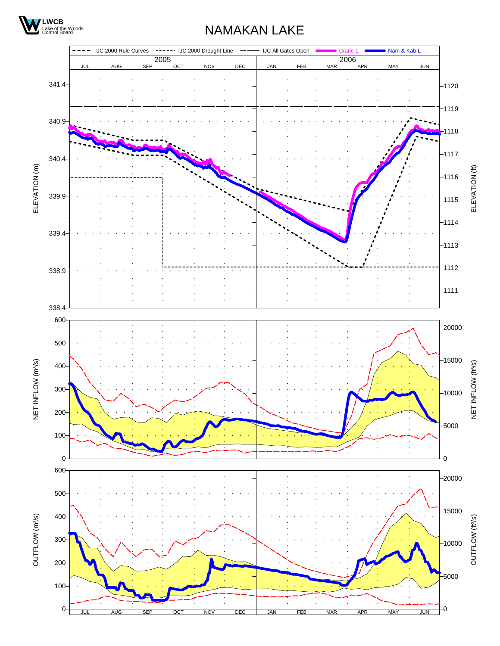

## NAMAKAN LAKE